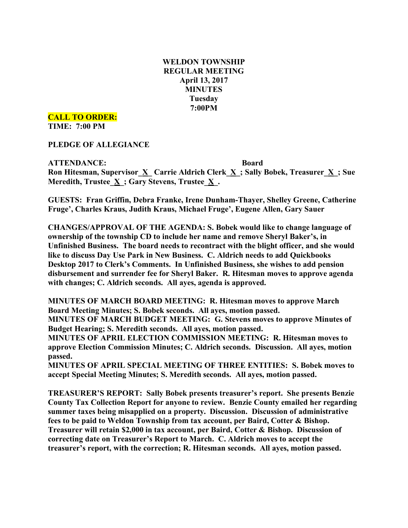# **WELDON TOWNSHIP REGULAR MEETING April 13, 2017 MINUTES Tuesday 7:00PM**

**CALL TO ORDER:**

**TIME: 7:00 PM**

**PLEDGE OF ALLEGIANCE**

**ATTENDANCE: Board Ron Hitesman, Supervisor**  $\underline{X}$  **<b>Carrie** Aldrich Clerk  $\underline{X}$ ; Sally Bobek, Treasurer  $\underline{X}$ ; Sue **Meredith, Trustee\_X\_; Gary Stevens, Trustee\_X\_.**

**GUESTS: Fran Griffin, Debra Franke, Irene Dunham-Thayer, Shelley Greene, Catherine Fruge', Charles Kraus, Judith Kraus, Michael Fruge', Eugene Allen, Gary Sauer**

**CHANGES/APPROVAL OF THE AGENDA: S. Bobek would like to change language of ownership of the township CD to include her name and remove Sheryl Baker's, in Unfinished Business. The board needs to recontract with the blight officer, and she would like to discuss Day Use Park in New Business. C. Aldrich needs to add Quickbooks Desktop 2017 to Clerk's Comments. In Unfinished Business, she wishes to add pension disbursement and surrender fee for Sheryl Baker. R. Hitesman moves to approve agenda with changes; C. Aldrich seconds. All ayes, agenda is approved.**

**MINUTES OF MARCH BOARD MEETING: R. Hitesman moves to approve March Board Meeting Minutes; S. Bobek seconds. All ayes, motion passed.**

**MINUTES OF MARCH BUDGET MEETING: G. Stevens moves to approve Minutes of Budget Hearing; S. Meredith seconds. All ayes, motion passed.**

**MINUTES OF APRIL ELECTION COMMISSION MEETING: R. Hitesman moves to approve Election Commission Minutes; C. Aldrich seconds. Discussion. All ayes, motion passed.**

**MINUTES OF APRIL SPECIAL MEETING OF THREE ENTITIES: S. Bobek moves to accept Special Meeting Minutes; S. Meredith seconds. All ayes, motion passed.**

**TREASURER'S REPORT: Sally Bobek presents treasurer's report. She presents Benzie County Tax Collection Report for anyone to review. Benzie County emailed her regarding summer taxes being misapplied on a property. Discussion. Discussion of administrative fees to be paid to Weldon Township from tax account, per Baird, Cotter & Bishop. Treasurer will retain \$2,000 in tax account, per Baird, Cotter & Bishop. Discussion of correcting date on Treasurer's Report to March. C. Aldrich moves to accept the treasurer's report, with the correction; R. Hitesman seconds. All ayes, motion passed.**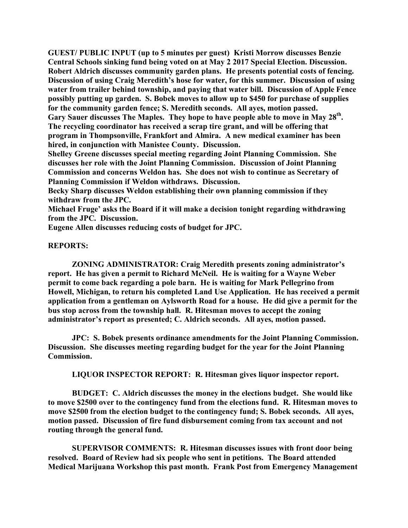**GUEST/ PUBLIC INPUT (up to 5 minutes per guest) Kristi Morrow discusses Benzie Central Schools sinking fund being voted on at May 2 2017 Special Election. Discussion. Robert Aldrich discusses community garden plans. He presents potential costs of fencing. Discussion of using Craig Meredith's hose for water, for this summer. Discussion of using water from trailer behind township, and paying that water bill. Discussion of Apple Fence possibly putting up garden. S. Bobek moves to allow up to \$450 for purchase of supplies for the community garden fence; S. Meredith seconds. All ayes, motion passed. Gary Sauer discusses The Maples. They hope to have people able to move in May 28th. The recycling coordinator has received a scrap tire grant, and will be offering that program in Thompsonville, Frankfort and Almira. A new medical examiner has been hired, in conjunction with Manistee County. Discussion.**

**Shelley Greene discusses special meeting regarding Joint Planning Commission. She discusses her role with the Joint Planning Commission. Discussion of Joint Planning Commission and concerns Weldon has. She does not wish to continue as Secretary of Planning Commission if Weldon withdraws. Discussion.**

**Becky Sharp discusses Weldon establishing their own planning commission if they withdraw from the JPC.**

**Michael Fruge' asks the Board if it will make a decision tonight regarding withdrawing from the JPC. Discussion.**

**Eugene Allen discusses reducing costs of budget for JPC.**

### **REPORTS:**

**ZONING ADMINISTRATOR: Craig Meredith presents zoning administrator's report. He has given a permit to Richard McNeil. He is waiting for a Wayne Weber permit to come back regarding a pole barn. He is waiting for Mark Pellegrino from Howell, Michigan, to return his completed Land Use Application. He has received a permit application from a gentleman on Aylsworth Road for a house. He did give a permit for the bus stop across from the township hall. R. Hitesman moves to accept the zoning administrator's report as presented; C. Aldrich seconds. All ayes, motion passed.**

**JPC: S. Bobek presents ordinance amendments for the Joint Planning Commission. Discussion. She discusses meeting regarding budget for the year for the Joint Planning Commission.**

**LIQUOR INSPECTOR REPORT: R. Hitesman gives liquor inspector report.**

**BUDGET: C. Aldrich discusses the money in the elections budget. She would like to move \$2500 over to the contingency fund from the elections fund. R. Hitesman moves to move \$2500 from the election budget to the contingency fund; S. Bobek seconds. All ayes, motion passed. Discussion of fire fund disbursement coming from tax account and not routing through the general fund.**

**SUPERVISOR COMMENTS: R. Hitesman discusses issues with front door being resolved. Board of Review had six people who sent in petitions. The Board attended Medical Marijuana Workshop this past month. Frank Post from Emergency Management**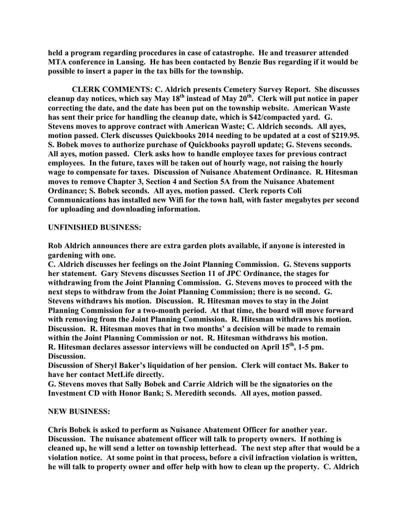**held a program regarding procedures in case of catastrophe. He and treasurer attended MTA conference in Lansing. He has been contacted by Benzie Bus regarding if it would be possible to insert a paper in the tax bills for the township.**

**CLERK COMMENTS: C. Aldrich presents Cemetery Survey Report. She discusses cleanup day notices, which say May 18th instead of May 20th. Clerk will put notice in paper correcting the date, and the date has been put on the township website. American Waste has sent their price for handling the cleanup date, which is \$42/compacted yard. G. Stevens moves to approve contract with American Waste; C. Aldrich seconds. All ayes, motion passed. Clerk discusses Quickbooks 2014 needing to be updated at a cost of \$219.95. S. Bobek moves to authorize purchase of Quickbooks payroll update; G. Stevens seconds. All ayes, motion passed. Clerk asks how to handle employee taxes for previous contract employees. In the future, taxes will be taken out of hourly wage, not raising the hourly wage to compensate for taxes. Discussion of Nuisance Abatement Ordinance. R. Hitesman moves to remove Chapter 3, Section 4 and Section 5A from the Nuisance Abatement Ordinance; S. Bobek seconds. All ayes, motion passed. Clerk reports Coli Communications has installed new Wifi for the town hall, with faster megabytes per second for uploading and downloading information.**

## **UNFINISHED BUSINESS:**

**Rob Aldrich announces there are extra garden plots available, if anyone is interested in gardening with one.**

**C. Aldrich discusses her feelings on the Joint Planning Commission. G. Stevens supports her statement. Gary Stevens discusses Section 11 of JPC Ordinance, the stages for withdrawing from the Joint Planning Commission. G. Stevens moves to proceed with the next steps to withdraw from the Joint Planning Commission; there is no second. G. Stevens withdraws his motion. Discussion. R. Hitesman moves to stay in the Joint Planning Commission for a two-month period. At that time, the board will move forward with removing from the Joint Planning Commission. R. Hitesman withdraws his motion. Discussion. R. Hitesman moves that in two months' a decision will be made to remain within the Joint Planning Commission or not. R. Hitesman withdraws his motion. R. Hitesman declares assessor interviews will be conducted on April 15th, 1-5 pm. Discussion.**

**Discussion of Sheryl Baker's liquidation of her pension. Clerk will contact Ms. Baker to have her contact MetLife directly.**

**G. Stevens moves that Sally Bobek and Carrie Aldrich will be the signatories on the Investment CD with Honor Bank; S. Meredith seconds. All ayes, motion passed.**

## **NEW BUSINESS:**

**Chris Bobek is asked to perform as Nuisance Abatement Officer for another year. Discussion. The nuisance abatement officer will talk to property owners. If nothing is cleaned up, he will send a letter on township letterhead. The next step after that would be a violation notice. At some point in that process, before a civil infraction violation is written, he will talk to property owner and offer help with how to clean up the property. C. Aldrich**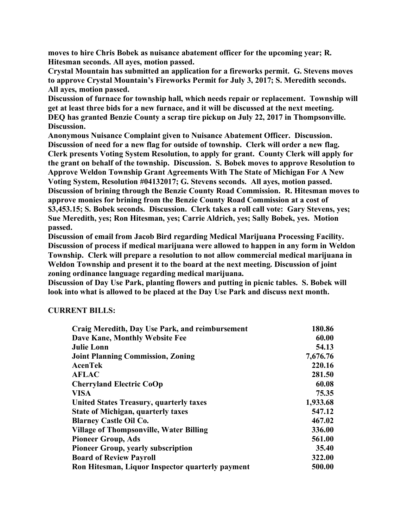**moves to hire Chris Bobek as nuisance abatement officer for the upcoming year; R. Hitesman seconds. All ayes, motion passed.**

**Crystal Mountain has submitted an application for a fireworks permit. G. Stevens moves to approve Crystal Mountain's Fireworks Permit for July 3, 2017; S. Meredith seconds. All ayes, motion passed.**

**Discussion of furnace for township hall, which needs repair or replacement. Township will get at least three bids for a new furnace, and it will be discussed at the next meeting. DEQ has granted Benzie County a scrap tire pickup on July 22, 2017 in Thompsonville. Discussion.**

**Anonymous Nuisance Complaint given to Nuisance Abatement Officer. Discussion. Discussion of need for a new flag for outside of township. Clerk will order a new flag. Clerk presents Voting System Resolution, to apply for grant. County Clerk will apply for the grant on behalf of the township. Discussion. S. Bobek moves to approve Resolution to Approve Weldon Township Grant Agreements With The State of Michigan For A New Voting System, Resolution #04132017; G. Stevens seconds. All ayes, motion passed. Discussion of brining through the Benzie County Road Commission. R. Hitesman moves to approve monies for brining from the Benzie County Road Commission at a cost of \$3,453.15; S. Bobek seconds. Discussion. Clerk takes a roll call vote: Gary Stevens, yes; Sue Meredith, yes; Ron Hitesman, yes; Carrie Aldrich, yes; Sally Bobek, yes. Motion passed.**

**Discussion of email from Jacob Bird regarding Medical Marijuana Processing Facility. Discussion of process if medical marijuana were allowed to happen in any form in Weldon Township. Clerk will prepare a resolution to not allow commercial medical marijuana in Weldon Township and present it to the board at the next meeting. Discussion of joint zoning ordinance language regarding medical marijuana.**

**Discussion of Day Use Park, planting flowers and putting in picnic tables. S. Bobek will look into what is allowed to be placed at the Day Use Park and discuss next month.**

## **CURRENT BILLS:**

| Craig Meredith, Day Use Park, and reimbursement  | 180.86   |
|--------------------------------------------------|----------|
| Dave Kane, Monthly Website Fee                   | 60.00    |
| <b>Julie Lonn</b>                                | 54.13    |
| <b>Joint Planning Commission, Zoning</b>         | 7,676.76 |
| <b>AcenTek</b>                                   | 220.16   |
| <b>AFLAC</b>                                     | 281.50   |
| <b>Cherryland Electric CoOp</b>                  | 60.08    |
| <b>VISA</b>                                      | 75.35    |
| <b>United States Treasury, quarterly taxes</b>   | 1,933.68 |
| <b>State of Michigan, quarterly taxes</b>        | 547.12   |
| <b>Blarney Castle Oil Co.</b>                    | 467.02   |
| <b>Village of Thompsonville, Water Billing</b>   | 336.00   |
| <b>Pioneer Group, Ads</b>                        | 561.00   |
| <b>Pioneer Group, yearly subscription</b>        | 35.40    |
| <b>Board of Review Payroll</b>                   | 322.00   |
| Ron Hitesman, Liquor Inspector quarterly payment | 500.00   |